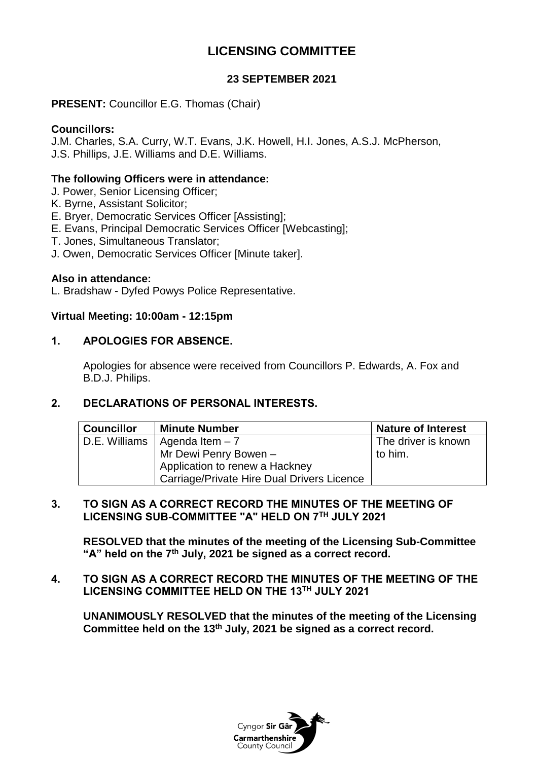# **LICENSING COMMITTEE**

# **23 SEPTEMBER 2021**

# **PRESENT:** Councillor E.G. Thomas (Chair)

## **Councillors:**

J.M. Charles, S.A. Curry, W.T. Evans, J.K. Howell, H.I. Jones, A.S.J. McPherson, J.S. Phillips, J.E. Williams and D.E. Williams.

## **The following Officers were in attendance:**

J. Power, Senior Licensing Officer;

- K. Byrne, Assistant Solicitor;
- E. Bryer, Democratic Services Officer [Assisting];
- E. Evans, Principal Democratic Services Officer [Webcasting];
- T. Jones, Simultaneous Translator;
- J. Owen, Democratic Services Officer [Minute taker].

## **Also in attendance:**

L. Bradshaw - Dyfed Powys Police Representative.

## **Virtual Meeting: 10:00am - 12:15pm**

## **1. APOLOGIES FOR ABSENCE.**

Apologies for absence were received from Councillors P. Edwards, A. Fox and B.D.J. Philips.

## **2. DECLARATIONS OF PERSONAL INTERESTS.**

| <b>Councillor</b> | <b>Minute Number</b>                       | <b>Nature of Interest</b> |
|-------------------|--------------------------------------------|---------------------------|
|                   | D.E. Williams   Agenda Item $-7$           | The driver is known       |
|                   | Mr Dewi Penry Bowen -                      | to him.                   |
|                   | Application to renew a Hackney             |                           |
|                   | Carriage/Private Hire Dual Drivers Licence |                           |

## **3. TO SIGN AS A CORRECT RECORD THE MINUTES OF THE MEETING OF LICENSING SUB-COMMITTEE "A" HELD ON 7 TH JULY 2021**

**RESOLVED that the minutes of the meeting of the Licensing Sub-Committee "A" held on the 7th July, 2021 be signed as a correct record.**

**4. TO SIGN AS A CORRECT RECORD THE MINUTES OF THE MEETING OF THE LICENSING COMMITTEE HELD ON THE 13TH JULY 2021**

**UNANIMOUSLY RESOLVED that the minutes of the meeting of the Licensing Committee held on the 13th July, 2021 be signed as a correct record.**

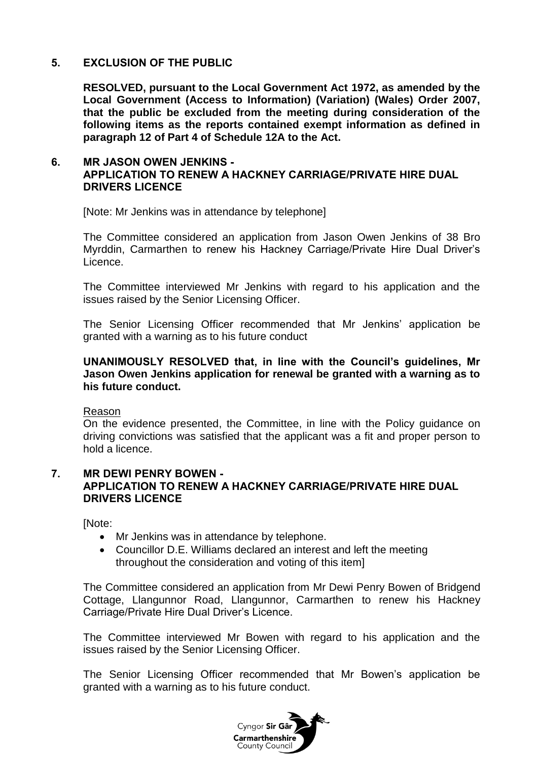# **5. EXCLUSION OF THE PUBLIC**

**RESOLVED, pursuant to the Local Government Act 1972, as amended by the Local Government (Access to Information) (Variation) (Wales) Order 2007, that the public be excluded from the meeting during consideration of the following items as the reports contained exempt information as defined in paragraph 12 of Part 4 of Schedule 12A to the Act.**

# **6. MR JASON OWEN JENKINS - APPLICATION TO RENEW A HACKNEY CARRIAGE/PRIVATE HIRE DUAL DRIVERS LICENCE**

[Note: Mr Jenkins was in attendance by telephone]

The Committee considered an application from Jason Owen Jenkins of 38 Bro Myrddin, Carmarthen to renew his Hackney Carriage/Private Hire Dual Driver's Licence.

The Committee interviewed Mr Jenkins with regard to his application and the issues raised by the Senior Licensing Officer.

The Senior Licensing Officer recommended that Mr Jenkins' application be granted with a warning as to his future conduct

**UNANIMOUSLY RESOLVED that, in line with the Council's guidelines, Mr Jason Owen Jenkins application for renewal be granted with a warning as to his future conduct.**

Reason

On the evidence presented, the Committee, in line with the Policy guidance on driving convictions was satisfied that the applicant was a fit and proper person to hold a licence.

## **7. MR DEWI PENRY BOWEN - APPLICATION TO RENEW A HACKNEY CARRIAGE/PRIVATE HIRE DUAL DRIVERS LICENCE**

[Note:

- Mr Jenkins was in attendance by telephone.
- Councillor D.E. Williams declared an interest and left the meeting throughout the consideration and voting of this item]

The Committee considered an application from Mr Dewi Penry Bowen of Bridgend Cottage, Llangunnor Road, Llangunnor, Carmarthen to renew his Hackney Carriage/Private Hire Dual Driver's Licence.

The Committee interviewed Mr Bowen with regard to his application and the issues raised by the Senior Licensing Officer.

The Senior Licensing Officer recommended that Mr Bowen's application be granted with a warning as to his future conduct.

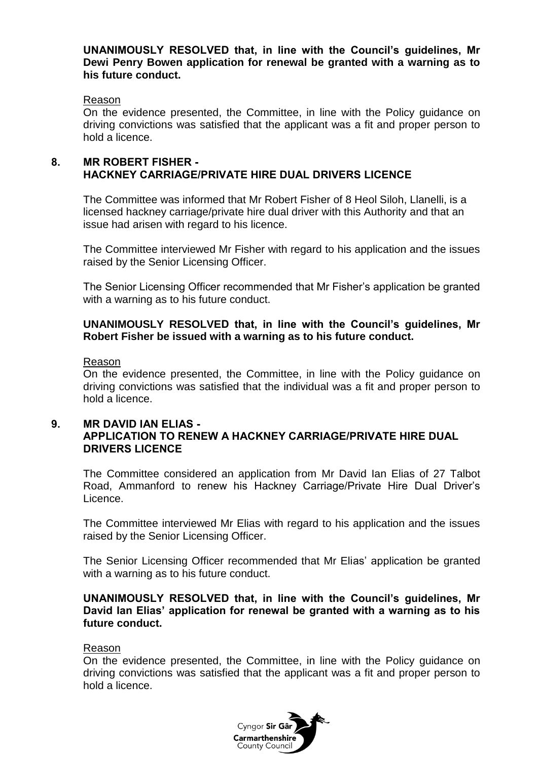## **UNANIMOUSLY RESOLVED that, in line with the Council's guidelines, Mr Dewi Penry Bowen application for renewal be granted with a warning as to his future conduct.**

#### Reason

On the evidence presented, the Committee, in line with the Policy guidance on driving convictions was satisfied that the applicant was a fit and proper person to hold a licence.

## **8. MR ROBERT FISHER - HACKNEY CARRIAGE/PRIVATE HIRE DUAL DRIVERS LICENCE**

The Committee was informed that Mr Robert Fisher of 8 Heol Siloh, Llanelli, is a licensed hackney carriage/private hire dual driver with this Authority and that an issue had arisen with regard to his licence.

The Committee interviewed Mr Fisher with regard to his application and the issues raised by the Senior Licensing Officer.

The Senior Licensing Officer recommended that Mr Fisher's application be granted with a warning as to his future conduct.

## **UNANIMOUSLY RESOLVED that, in line with the Council's guidelines, Mr Robert Fisher be issued with a warning as to his future conduct.**

#### Reason

On the evidence presented, the Committee, in line with the Policy guidance on driving convictions was satisfied that the individual was a fit and proper person to hold a licence.

## **9. MR DAVID IAN ELIAS - APPLICATION TO RENEW A HACKNEY CARRIAGE/PRIVATE HIRE DUAL DRIVERS LICENCE**

The Committee considered an application from Mr David Ian Elias of 27 Talbot Road, Ammanford to renew his Hackney Carriage/Private Hire Dual Driver's Licence.

The Committee interviewed Mr Elias with regard to his application and the issues raised by the Senior Licensing Officer.

The Senior Licensing Officer recommended that Mr Elias' application be granted with a warning as to his future conduct.

## **UNANIMOUSLY RESOLVED that, in line with the Council's guidelines, Mr David Ian Elias' application for renewal be granted with a warning as to his future conduct.**

#### Reason

On the evidence presented, the Committee, in line with the Policy guidance on driving convictions was satisfied that the applicant was a fit and proper person to hold a licence.

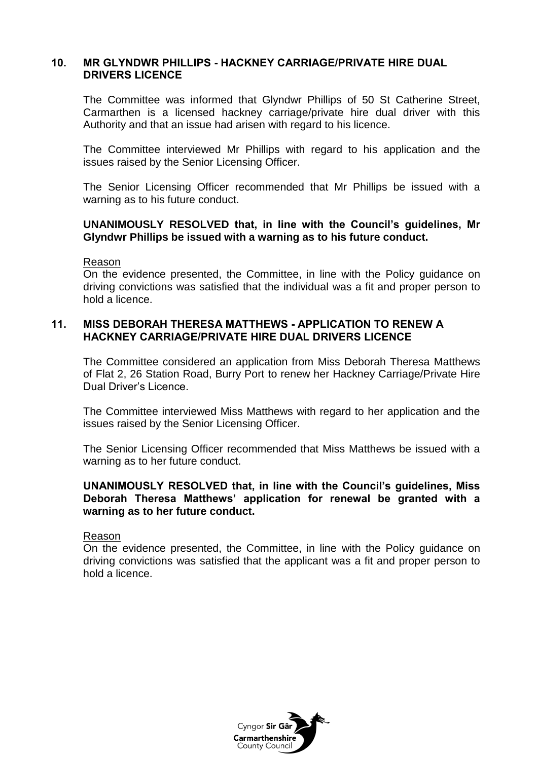## **10. MR GLYNDWR PHILLIPS - HACKNEY CARRIAGE/PRIVATE HIRE DUAL DRIVERS LICENCE**

The Committee was informed that Glyndwr Phillips of 50 St Catherine Street, Carmarthen is a licensed hackney carriage/private hire dual driver with this Authority and that an issue had arisen with regard to his licence.

The Committee interviewed Mr Phillips with regard to his application and the issues raised by the Senior Licensing Officer.

The Senior Licensing Officer recommended that Mr Phillips be issued with a warning as to his future conduct.

## **UNANIMOUSLY RESOLVED that, in line with the Council's guidelines, Mr Glyndwr Phillips be issued with a warning as to his future conduct.**

Reason

On the evidence presented, the Committee, in line with the Policy guidance on driving convictions was satisfied that the individual was a fit and proper person to hold a licence.

## **11. MISS DEBORAH THERESA MATTHEWS - APPLICATION TO RENEW A HACKNEY CARRIAGE/PRIVATE HIRE DUAL DRIVERS LICENCE**

The Committee considered an application from Miss Deborah Theresa Matthews of Flat 2, 26 Station Road, Burry Port to renew her Hackney Carriage/Private Hire Dual Driver's Licence.

The Committee interviewed Miss Matthews with regard to her application and the issues raised by the Senior Licensing Officer.

The Senior Licensing Officer recommended that Miss Matthews be issued with a warning as to her future conduct.

## **UNANIMOUSLY RESOLVED that, in line with the Council's guidelines, Miss Deborah Theresa Matthews' application for renewal be granted with a warning as to her future conduct.**

#### Reason

On the evidence presented, the Committee, in line with the Policy guidance on driving convictions was satisfied that the applicant was a fit and proper person to hold a licence.

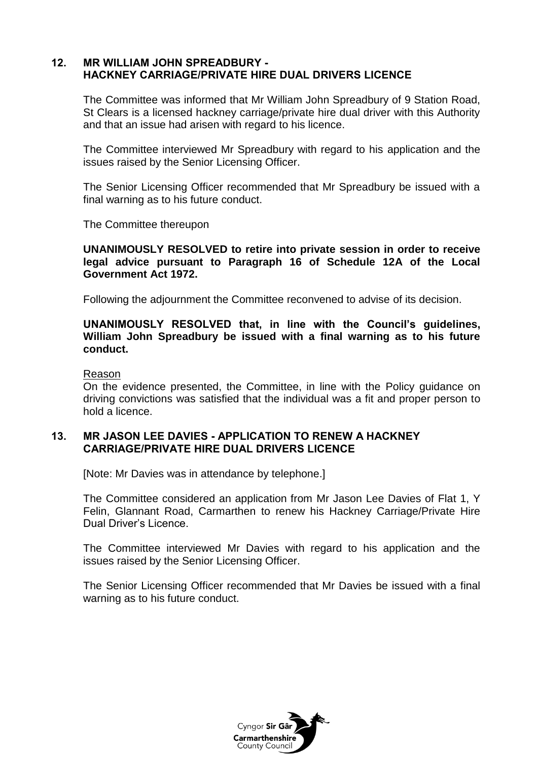# **12. MR WILLIAM JOHN SPREADBURY - HACKNEY CARRIAGE/PRIVATE HIRE DUAL DRIVERS LICENCE**

The Committee was informed that Mr William John Spreadbury of 9 Station Road, St Clears is a licensed hackney carriage/private hire dual driver with this Authority and that an issue had arisen with regard to his licence.

The Committee interviewed Mr Spreadbury with regard to his application and the issues raised by the Senior Licensing Officer.

The Senior Licensing Officer recommended that Mr Spreadbury be issued with a final warning as to his future conduct.

The Committee thereupon

## **UNANIMOUSLY RESOLVED to retire into private session in order to receive legal advice pursuant to Paragraph 16 of Schedule 12A of the Local Government Act 1972.**

Following the adjournment the Committee reconvened to advise of its decision.

## **UNANIMOUSLY RESOLVED that, in line with the Council's guidelines, William John Spreadbury be issued with a final warning as to his future conduct.**

#### Reason

On the evidence presented, the Committee, in line with the Policy guidance on driving convictions was satisfied that the individual was a fit and proper person to hold a licence.

## **13. MR JASON LEE DAVIES - APPLICATION TO RENEW A HACKNEY CARRIAGE/PRIVATE HIRE DUAL DRIVERS LICENCE**

[Note: Mr Davies was in attendance by telephone.]

The Committee considered an application from Mr Jason Lee Davies of Flat 1, Y Felin, Glannant Road, Carmarthen to renew his Hackney Carriage/Private Hire Dual Driver's Licence.

The Committee interviewed Mr Davies with regard to his application and the issues raised by the Senior Licensing Officer.

The Senior Licensing Officer recommended that Mr Davies be issued with a final warning as to his future conduct.